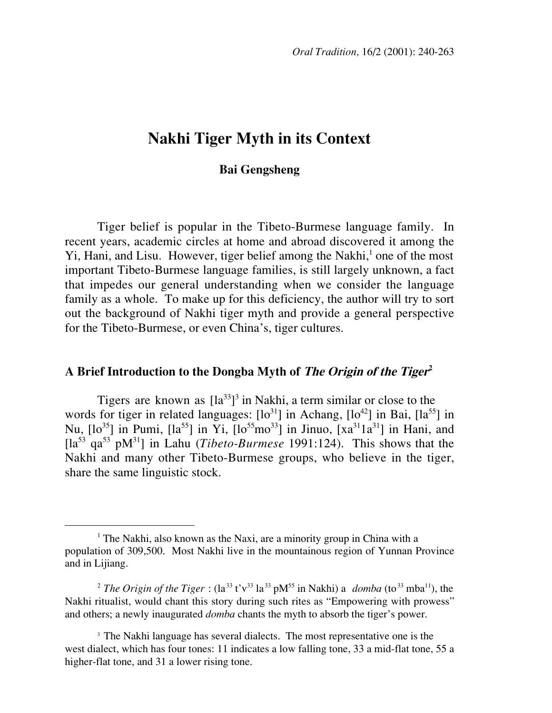## **Nakhi Tiger Myth in its Context**

#### **Bai Gengsheng**

Tiger belief is popular in the Tibeto-Burmese language family. In recent years, academic circles at home and abroad discovered it among the Yi, Hani, and Lisu. However, tiger belief among the Nakhi,<sup>1</sup> one of the most important Tibeto-Burmese language families, is still largely unknown, a fact that impedes our general understanding when we consider the language family as a whole. To make up for this deficiency, the author will try to sort out the background of Nakhi tiger myth and provide a general perspective for the Tibeto-Burmese, or even China's, tiger cultures.

## **A Brief Introduction to the Dongba Myth of** *The Origin of the Tiger***<sup>2</sup>**

Tigers are known as  $[1a^{33}]^3$  in Nakhi, a term similar or close to the words for tiger in related languages:  $[10^{31}]$  in Achang,  $[10^{42}]$  in Bai,  $[1a^{55}]$  in Nu,  $[10^{35}]$  in Pumi,  $[1a^{55}]$  in Yi,  $[10^{55}$ mo<sup>33</sup>] in Jinuo,  $[xa^{31}1a^{31}]$  in Hani, and  $[1a^{53}$  qa<sup>53</sup> pM<sup>31</sup>] in Lahu (*Tibeto-Burmese* 1991:124). This shows that the Nakhi and many other Tibeto-Burmese groups, who believe in the tiger, share the same linguistic stock.

<sup>1&</sup>lt;sup>1</sup> <sup>1</sup> The Nakhi, also known as the Naxi, are a minority group in China with a population of 309,500. Most Nakhi live in the mountainous region of Yunnan Province and in Lijiang.

<sup>&</sup>lt;sup>2</sup> *The Origin of the Tiger* :  $(la^{33} t'v^{33}la^{39}pM^{55}$  in Nakhi) a *domba* (to<sup>33</sup> mba<sup>11</sup>), the Nakhi ritualist, would chant this story during such rites as "Empowering with prowess" and others; a newly inaugurated *domba* chants the myth to absorb the tiger's power.

<sup>&</sup>lt;sup>3</sup> The Nakhi language has several dialects. The most representative one is the west dialect, which has four tones: 11 indicates a low falling tone, 33 a mid-flat tone, 55 a higher-flat tone, and 31 a lower rising tone.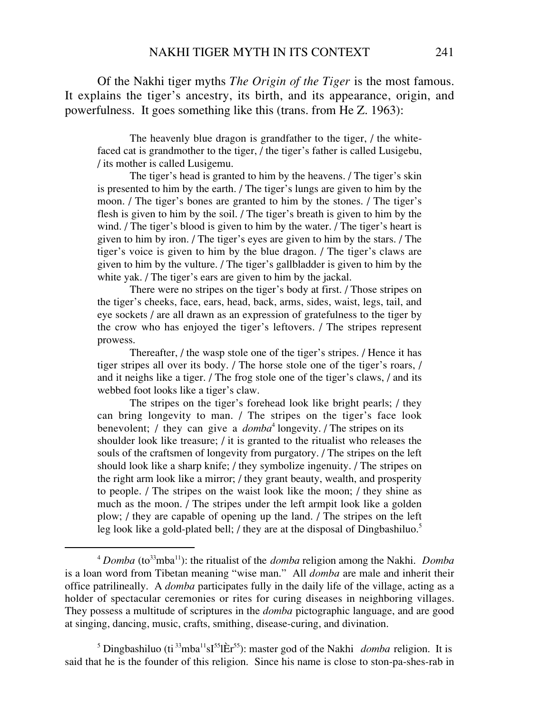Of the Nakhi tiger myths *The Origin of the Tiger* is the most famous. It explains the tiger's ancestry, its birth, and its appearance, origin, and powerfulness. It goes something like this (trans. from He Z. 1963):

The heavenly blue dragon is grandfather to the tiger, / the whitefaced cat is grandmother to the tiger, / the tiger's father is called Lusigebu, / its mother is called Lusigemu.

The tiger's head is granted to him by the heavens. / The tiger's skin is presented to him by the earth. / The tiger's lungs are given to him by the moon. / The tiger's bones are granted to him by the stones. / The tiger's flesh is given to him by the soil. / The tiger's breath is given to him by the wind. / The tiger's blood is given to him by the water. / The tiger's heart is given to him by iron. / The tiger's eyes are given to him by the stars. / The tiger's voice is given to him by the blue dragon. / The tiger's claws are given to him by the vulture. / The tiger's gallbladder is given to him by the white yak. / The tiger's ears are given to him by the jackal.

There were no stripes on the tiger's body at first. / Those stripes on the tiger's cheeks, face, ears, head, back, arms, sides, waist, legs, tail, and eye sockets / are all drawn as an expression of gratefulness to the tiger by the crow who has enjoyed the tiger's leftovers. / The stripes represent prowess.

Thereafter, / the wasp stole one of the tiger's stripes. / Hence it has tiger stripes all over its body. / The horse stole one of the tiger's roars, / and it neighs like a tiger. / The frog stole one of the tiger's claws, / and its webbed foot looks like a tiger's claw.

The stripes on the tiger's forehead look like bright pearls; / they can bring longevity to man. / The stripes on the tiger's face look benevolent; / they can give a *domba*<sup>4</sup> longevity. / The stripes on its shoulder look like treasure; / it is granted to the ritualist who releases the souls of the craftsmen of longevity from purgatory. / The stripes on the left should look like a sharp knife; / they symbolize ingenuity. / The stripes on the right arm look like a mirror; / they grant beauty, wealth, and prosperity to people. / The stripes on the waist look like the moon; / they shine as much as the moon. / The stripes under the left armpit look like a golden plow; / they are capable of opening up the land. / The stripes on the left leg look like a gold-plated bell; / they are at the disposal of Dingbashiluo.<sup>5</sup>

<sup>&</sup>lt;sup>4</sup> *Domba* (to<sup>33</sup>mba<sup>11</sup>): the ritualist of the *domba* religion among the Nakhi. *Domba* is a loan word from Tibetan meaning "wise man." All *domba* are male and inherit their office patrilineally. A *domba* participates fully in the daily life of the village, acting as a holder of spectacular ceremonies or rites for curing diseases in neighboring villages. They possess a multitude of scriptures in the *domba* pictographic language, and are good at singing, dancing, music, crafts, smithing, disease-curing, and divination.

<sup>&</sup>lt;sup>5</sup> Dingbashiluo (ti<sup>33</sup>mba<sup>11</sup>sI<sup>55</sup>lÈr<sup>55</sup>): master god of the Nakhi *domba* religion. It is said that he is the founder of this religion. Since his name is close to ston-pa-shes-rab in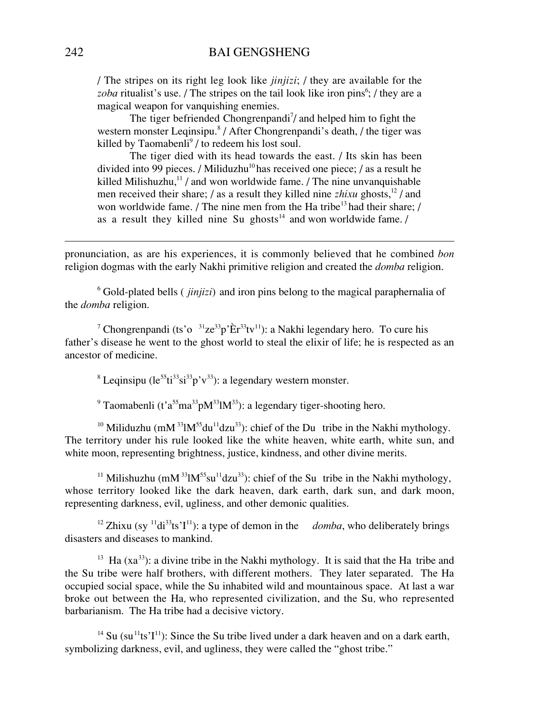/ The stripes on its right leg look like *jinjizi*; / they are available for the zoba ritualist's use. / The stripes on the tail look like iron pins<sup>6</sup>; / they are a magical weapon for vanquishing enemies.

The tiger befriended Chongrenpandi<sup>7</sup>/ and helped him to fight the western monster Leqinsipu.<sup>8</sup> / After Chongrenpandi's death, / the tiger was killed by Taomabenli<sup>9</sup> / to redeem his lost soul.

The tiger died with its head towards the east. / Its skin has been divided into 99 pieces. / Miliduzhu<sup>10</sup> has received one piece; / as a result he killed Milishuzhu,<sup>11</sup> / and won worldwide fame. / The nine unvanquishable men received their share; / as a result they killed nine *zhixu* ghosts,<sup>12</sup> / and won worldwide fame. / The nine men from the Ha tribe<sup>13</sup> had their share; / as a result they killed nine Su ghosts<sup>14</sup> and won worldwide fame. /

pronunciation, as are his experiences, it is commonly believed that he combined *bon* religion dogmas with the early Nakhi primitive religion and created the *domba* religion.

6 Gold-plated bells ( *jinjizi*) and iron pins belong to the magical paraphernalia of the *domba* religion.

<sup>7</sup> Chongrenpandi (ts'o  $31$ ze $33$ p'Èr $33$ tv $11$ ): a Nakhi legendary hero. To cure his father's disease he went to the ghost world to steal the elixir of life; he is respected as an ancestor of medicine.

<sup>8</sup> Leqinsipu (le<sup>55</sup>ti<sup>33</sup>si<sup>33</sup>p'v<sup>33</sup>): a legendary western monster.

<sup>9</sup> Taomabenli (t'a<sup>55</sup>ma<sup>33</sup>pM<sup>33</sup>lM<sup>33</sup>): a legendary tiger-shooting hero.

<sup>10</sup> Miliduzhu (mM<sup>33</sup>lM<sup>55</sup>du<sup>11</sup>dzu<sup>33</sup>): chief of the Du tribe in the Nakhi mythology. The territory under his rule looked like the white heaven, white earth, white sun, and white moon, representing brightness, justice, kindness, and other divine merits.

<sup>11</sup> Milishuzhu (mM<sup>33</sup>lM<sup>55</sup>su<sup>11</sup>dzu<sup>33</sup>): chief of the Su tribe in the Nakhi mythology, whose territory looked like the dark heaven, dark earth, dark sun, and dark moon, representing darkness, evil, ugliness, and other demonic qualities.

<sup>12</sup> Zhixu (sy <sup>11</sup>di<sup>33</sup>ts'I<sup>11</sup>): a type of demon in the *domba*, who deliberately brings disasters and diseases to mankind.

<sup>13</sup> Ha (xa<sup>33</sup>): a divine tribe in the Nakhi mythology. It is said that the Ha tribe and the Su tribe were half brothers, with different mothers. They later separated. The Ha occupied social space, while the Su inhabited wild and mountainous space. At last a war broke out between the Ha*,* who represented civilization, and the Su*,* who represented barbarianism. The Ha tribe had a decisive victory.

<sup>14</sup> Su (su<sup>11</sup>ts'I<sup>11</sup>): Since the Su tribe lived under a dark heaven and on a dark earth, symbolizing darkness, evil, and ugliness, they were called the "ghost tribe."

 $\overline{a}$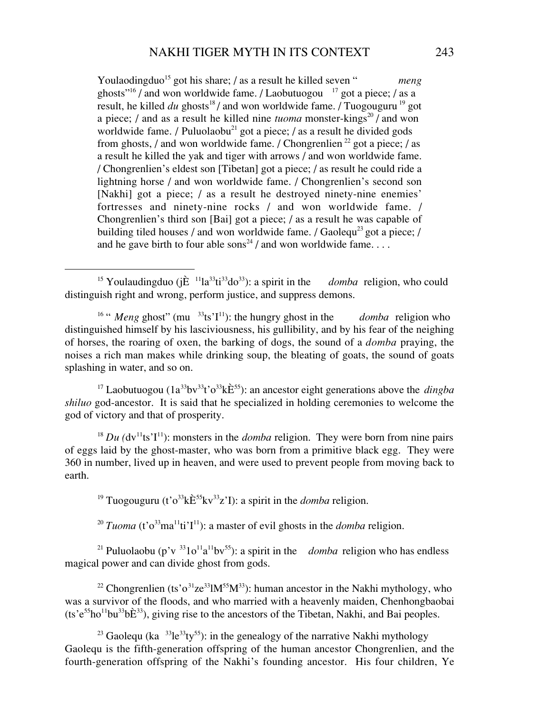Youlaodingduo<sup>15</sup> got his share; / as a result he killed seven " *meng* ghosts"<sup>16</sup> / and won worldwide fame. / Laobutuogou <sup>17</sup> got a piece; / as a result, he killed *du* ghosts<sup>18</sup>/ and won worldwide fame. / Tuogouguru <sup>19</sup> got a piece; / and as a result he killed nine *tuoma* monster-kings<sup>20</sup> / and won worldwide fame. / Puluolaobu<sup>21</sup> got a piece; / as a result he divided gods from ghosts, / and won worldwide fame. / Chongrenlien<sup>22</sup> got a piece; / as a result he killed the yak and tiger with arrows / and won worldwide fame. / Chongrenlien's eldest son [Tibetan] got a piece; / as result he could ride a lightning horse / and won worldwide fame. / Chongrenlien's second son [Nakhi] got a piece; / as a result he destroyed ninety-nine enemies' fortresses and ninety-nine rocks / and won worldwide fame. / Chongrenlien's third son [Bai] got a piece; / as a result he was capable of building tiled houses / and won worldwide fame. / Gaolequ<sup>23</sup> got a piece; / and he gave birth to four able sons<sup>24</sup> / and won worldwide fame...

 15 <sup>15</sup> Youlaudingduo ( $i\hat{E}$ <sup>11</sup>la<sup>33</sup>ti<sup>33</sup>do<sup>33</sup>): a spirit in the *domba* religion, who could distinguish right and wrong, perform justice, and suppress demons.

<sup>16</sup> " *Meng* ghost" (mu <sup>33</sup>ts'I<sup>11</sup>): the hungry ghost in the *domba* religion who distinguished himself by his lasciviousness, his gullibility, and by his fear of the neighing of horses, the roaring of oxen, the barking of dogs, the sound of a *domba* praying, the noises a rich man makes while drinking soup, the bleating of goats, the sound of goats splashing in water, and so on.

<sup>17</sup> Laobutuogou ( $1a^{33}bv^{33}t'o^{33}k\hat{E}^{55}$ ): an ancestor eight generations above the *dingba shiluo* god-ancestor. It is said that he specialized in holding ceremonies to welcome the god of victory and that of prosperity.

 $18\,Du$  (dv<sup>11</sup>ts'I<sup>11</sup>): monsters in the *domba* religion. They were born from nine pairs of eggs laid by the ghost-master, who was born from a primitive black egg. They were 360 in number, lived up in heaven, and were used to prevent people from moving back to earth.

<sup>19</sup> Tuogouguru (t'o<sup>33</sup>kÈ<sup>55</sup>kv<sup>33</sup>z'I): a spirit in the *domba* religion.

<sup>20</sup> *Tuoma* (t' $o^{33}$ ma<sup>11</sup>ti']<sup>11</sup>): a master of evil ghosts in the *domba* religion.

<sup>21</sup> Puluolaobu (p'v  $3310^{11}a^{11}bv^{55}$ ): a spirit in the *domba* religion who has endless magical power and can divide ghost from gods.

<sup>22</sup> Chongrenlien (ts'o<sup>31</sup>ze<sup>33</sup>lM<sup>55</sup>M<sup>33</sup>): human ancestor in the Nakhi mythology, who was a survivor of the floods, and who married with a heavenly maiden, Chenhongbaobai  $(ts'e^{55}ho^{11}bu^{33}b\tilde{E}^{33})$ , giving rise to the ancestors of the Tibetan, Nakhi, and Bai peoples.

<sup>23</sup> Gaolequ (ka  $331e^{33}ty^{55}$ ): in the genealogy of the narrative Nakhi mythology Gaolequ is the fifth-generation offspring of the human ancestor Chongrenlien, and the fourth-generation offspring of the Nakhi's founding ancestor. His four children, Ye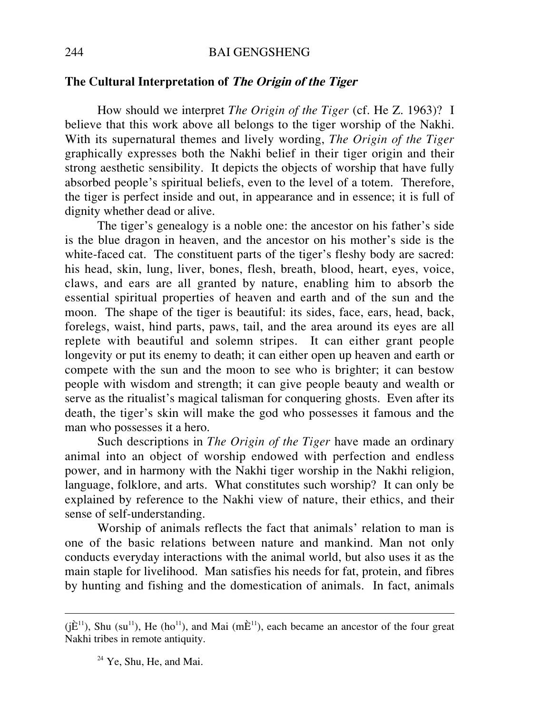## **The Cultural Interpretation of** *The Origin of the Tiger*

How should we interpret *The Origin of the Tiger* (cf. He Z. 1963)? I believe that this work above all belongs to the tiger worship of the Nakhi. With its supernatural themes and lively wording, *The Origin of the Tiger* graphically expresses both the Nakhi belief in their tiger origin and their strong aesthetic sensibility. It depicts the objects of worship that have fully absorbed people's spiritual beliefs, even to the level of a totem. Therefore, the tiger is perfect inside and out, in appearance and in essence; it is full of dignity whether dead or alive.

The tiger's genealogy is a noble one: the ancestor on his father's side is the blue dragon in heaven, and the ancestor on his mother's side is the white-faced cat. The constituent parts of the tiger's fleshy body are sacred: his head, skin, lung, liver, bones, flesh, breath, blood, heart, eyes, voice, claws, and ears are all granted by nature, enabling him to absorb the essential spiritual properties of heaven and earth and of the sun and the moon. The shape of the tiger is beautiful: its sides, face, ears, head, back, forelegs, waist, hind parts, paws, tail, and the area around its eyes are all replete with beautiful and solemn stripes. It can either grant people longevity or put its enemy to death; it can either open up heaven and earth or compete with the sun and the moon to see who is brighter; it can bestow people with wisdom and strength; it can give people beauty and wealth or serve as the ritualist's magical talisman for conquering ghosts. Even after its death, the tiger's skin will make the god who possesses it famous and the man who possesses it a hero.

Such descriptions in *The Origin of the Tiger* have made an ordinary animal into an object of worship endowed with perfection and endless power, and in harmony with the Nakhi tiger worship in the Nakhi religion, language, folklore, and arts. What constitutes such worship? It can only be explained by reference to the Nakhi view of nature, their ethics, and their sense of self-understanding.

Worship of animals reflects the fact that animals' relation to man is one of the basic relations between nature and mankind. Man not only conducts everyday interactions with the animal world, but also uses it as the main staple for livelihood. Man satisfies his needs for fat, protein, and fibres by hunting and fishing and the domestication of animals. In fact, animals

 $\overline{a}$ 

<sup>(</sup>j $\hat{E}^{11}$ ), Shu (su<sup>11</sup>), He (ho<sup>11</sup>), and Mai (m $\hat{E}^{11}$ ), each became an ancestor of the four great Nakhi tribes in remote antiquity.

 $24$  Ye, Shu, He, and Mai.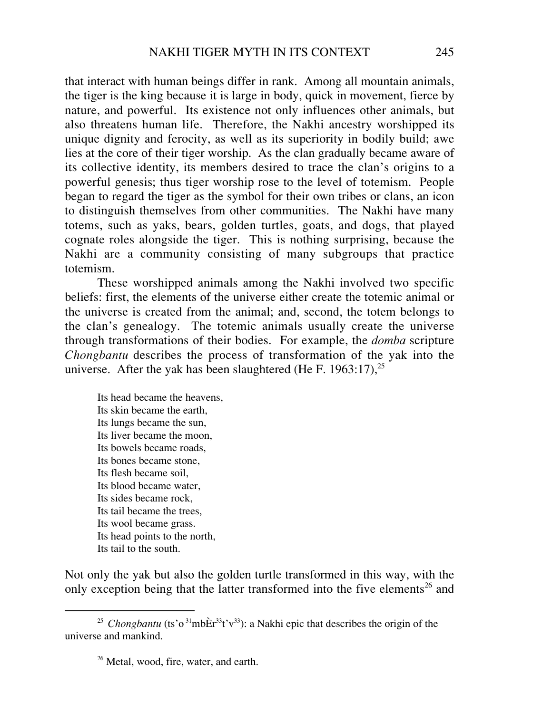that interact with human beings differ in rank. Among all mountain animals, the tiger is the king because it is large in body, quick in movement, fierce by nature, and powerful. Its existence not only influences other animals, but also threatens human life. Therefore, the Nakhi ancestry worshipped its unique dignity and ferocity, as well as its superiority in bodily build; awe lies at the core of their tiger worship. As the clan gradually became aware of its collective identity, its members desired to trace the clan's origins to a powerful genesis; thus tiger worship rose to the level of totemism. People began to regard the tiger as the symbol for their own tribes or clans, an icon to distinguish themselves from other communities. The Nakhi have many totems, such as yaks, bears, golden turtles, goats, and dogs, that played cognate roles alongside the tiger. This is nothing surprising, because the Nakhi are a community consisting of many subgroups that practice totemism.

These worshipped animals among the Nakhi involved two specific beliefs: first, the elements of the universe either create the totemic animal or the universe is created from the animal; and, second, the totem belongs to the clan's genealogy. The totemic animals usually create the universe through transformations of their bodies. For example, the *domba* scripture *Chongbantu* describes the process of transformation of the yak into the universe. After the yak has been slaughtered (He F. 1963:17),<sup>25</sup>

Its head became the heavens, Its skin became the earth, Its lungs became the sun, Its liver became the moon, Its bowels became roads, Its bones became stone, Its flesh became soil, Its blood became water, Its sides became rock, Its tail became the trees, Its wool became grass. Its head points to the north, Its tail to the south.

Not only the yak but also the golden turtle transformed in this way, with the only exception being that the latter transformed into the five elements<sup>26</sup> and

<sup>&</sup>lt;sup>25</sup> *Chongbantu* (ts'o<sup>31</sup>mbÈr<sup>33</sup>t'v<sup>33</sup>): a Nakhi epic that describes the origin of the universe and mankind.

<sup>&</sup>lt;sup>26</sup> Metal, wood, fire, water, and earth.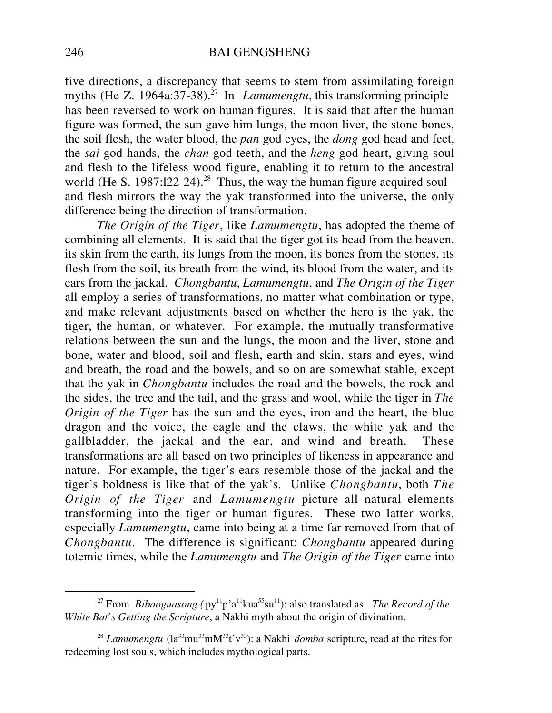five directions, a discrepancy that seems to stem from assimilating foreign myths (He Z. 1964a:37-38).<sup>27</sup> In *Lamumengtu*, this transforming principle has been reversed to work on human figures. It is said that after the human figure was formed, the sun gave him lungs, the moon liver, the stone bones, the soil flesh, the water blood, the *pan* god eyes, the *dong* god head and feet, the *sai* god hands, the *chan* god teeth, and the *heng* god heart, giving soul and flesh to the lifeless wood figure, enabling it to return to the ancestral world (He S. 1987:122-24).<sup>28</sup> Thus, the way the human figure acquired soul and flesh mirrors the way the yak transformed into the universe, the only difference being the direction of transformation.

*The Origin of the Tiger*, like *Lamumengtu*, has adopted the theme of combining all elements. It is said that the tiger got its head from the heaven, its skin from the earth, its lungs from the moon, its bones from the stones, its flesh from the soil, its breath from the wind, its blood from the water, and its ears from the jackal. *Chongbantu*, *Lamumengtu*, and *The Origin of the Tiger* all employ a series of transformations, no matter what combination or type, and make relevant adjustments based on whether the hero is the yak, the tiger, the human, or whatever. For example, the mutually transformative relations between the sun and the lungs, the moon and the liver, stone and bone, water and blood, soil and flesh, earth and skin, stars and eyes, wind and breath, the road and the bowels, and so on are somewhat stable, except that the yak in *Chongbantu* includes the road and the bowels, the rock and the sides, the tree and the tail, and the grass and wool, while the tiger in *The Origin of the Tiger* has the sun and the eyes, iron and the heart, the blue dragon and the voice, the eagle and the claws, the white yak and the gallbladder, the jackal and the ear, and wind and breath. These transformations are all based on two principles of likeness in appearance and nature. For example, the tiger's ears resemble those of the jackal and the tiger's boldness is like that of the yak's. Unlike *Chongbantu*, both *The Origin of the Tiger* and *Lamumengtu* picture all natural elements transforming into the tiger or human figures. These two latter works, especially *Lamumengtu*, came into being at a time far removed from that of *Chongbantu*. The difference is significant: *Chongbantu* appeared during totemic times, while the *Lamumengtu* and *The Origin of the Tiger* came into

<sup>27</sup> <sup>27</sup> From *Bibaoguasong* ( $py^{11}p^2a^{11}kua^{55}su^{11}$ ): also translated as *The Record of the White Bat's Getting the Scripture*, a Nakhi myth about the origin of divination.

<sup>&</sup>lt;sup>28</sup> *Lamumengtu* ( $\text{la}^{33}$ mu<sup>33</sup>mM<sup>33</sup>t'v<sup>33</sup>): a Nakhi *domba* scripture, read at the rites for redeeming lost souls, which includes mythological parts.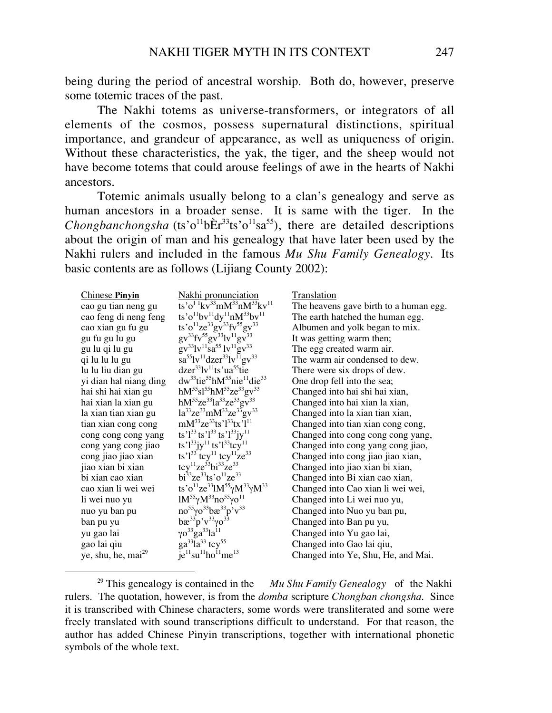being during the period of ancestral worship. Both do, however, preserve some totemic traces of the past.

The Nakhi totems as universe-transformers, or integrators of all elements of the cosmos, possess supernatural distinctions, spiritual importance, and grandeur of appearance, as well as uniqueness of origin. Without these characteristics, the yak, the tiger, and the sheep would not have become totems that could arouse feelings of awe in the hearts of Nakhi ancestors.

Totemic animals usually belong to a clan's genealogy and serve as human ancestors in a broader sense. It is same with the tiger. In the *Chongbanchongsha* (ts'o<sup>11</sup>bÈr<sup>33</sup>ts'o<sup>11</sup>sa<sup>55</sup>), there are detailed descriptions about the origin of man and his genealogy that have later been used by the Nakhi rulers and included in the famous *Mu Shu Family Genealogy*. Its basic contents are as follows (Lijiang County 2002):

| <b>Chinese Pinyin</b>          | <b>Nakhi</b> pronunciation                                                                 | Translation                            |
|--------------------------------|--------------------------------------------------------------------------------------------|----------------------------------------|
| cao gu tian neng gu            | $ts$ 'o <sup>1 1</sup> kv <sup>33</sup> mM <sup>33</sup> nM <sup>33</sup> kv <sup>11</sup> | The heavens gave birth to a human egg. |
| cao feng di neng feng          | $ts'o11bv11dy11nM33bv11$                                                                   | The earth hatched the human egg.       |
| cao xian gu fu gu              | $ts'o^{11}ze^{33}gv^{33}fv^{55}gv^{33}$                                                    | Albumen and yolk began to mix.         |
| gu fu gu lu gu                 | $gv^{33}fv^{55}gv^{33}lv^{11}gv^{33}$                                                      | It was getting warm then;              |
| gu lu qi lu gu                 | $gv^{33}lv^{11}sa^{55}lv^{11}gv^{33}$                                                      | The egg created warm air.              |
| qi lu lu lu gu                 | $sa^{55}lv^{11}dzer^{33}lv^{11}gv^{33}$                                                    | The warm air condensed to dew.         |
| lu lu liu dian gu              | $dzer33lv11ts'ua55tie$                                                                     | There were six drops of dew.           |
| yi dian hal niang ding         | dw <sup>33</sup> tie <sup>55</sup> hM <sup>55</sup> nie <sup>11</sup> die <sup>33</sup>    | One drop fell into the sea;            |
| hai shi hai xian gu            | $hM^{55}sl^{55}hM^{55}ze^{33}gv^{33}$                                                      | Changed into hai shi hai xian,         |
| hai xian la xian gu            | $hM^{55}$ ze <sup>33</sup> la <sup>33</sup> ze <sup>33</sup> gv <sup>33</sup>              | Changed into hai xian la xian,         |
| la xian tian xian gu           | $1a^{33}ze^{33}mM^{33}ze^{35}gv^{33}$                                                      | Changed into la xian tian xian,        |
| tian xian cong cong            | $mM^{33}$ ze <sup>33</sup> ts'l <sup>33</sup> tx'l <sup>11</sup>                           | Changed into tian xian cong cong,      |
| cong cong cong yang            | ts'l <sup>33</sup> ts'l <sup>33</sup> ts'l <sup>33</sup> jy <sup>11</sup>                  | Changed into cong cong cong yang,      |
| cong yang cong jiao            | ts'l <sup>33</sup> jy <sup>11</sup> ts'l <sup>33</sup> tcy <sup>11</sup>                   | Changed into cong yang cong jiao,      |
| cong jiao jiao xian            | ts'l <sup>33</sup> tcy <sup>11</sup> tcy <sup>11</sup> ze <sup>33</sup>                    | Changed into cong jiao jiao xian,      |
| jiao xian bi xian              | tcy <sup>11</sup> ze <sup>33</sup> bi <sup>33</sup> ze <sup>33</sup>                       | Changed into jiao xian bi xian,        |
| bi xian cao xian               | $bi^{33}ze^{33}ts'o^{11}ze^{33}$                                                           | Changed into Bi xian cao xian,         |
| cao xian li wei wei            | ts'o <sup>11</sup> ze <sup>33</sup> lM <sup>55</sup> γM <sup>33</sup> γM <sup>33</sup>     | Changed into Cao xian li wei wei,      |
| li wei nuo yu                  | $1M^{55}$ γ $M^{33}$ πο <sup>55</sup> γο <sup>11</sup>                                     | Changed into Li wei nuo yu,            |
| nuo yu ban pu                  | $no^{55}\gamma o^{33}bæ^{33}p'v^{33}$                                                      | Changed into Nuo yu ban pu,            |
| ban pu yu                      | $b\mathfrak{E}^{33}p'v^{33}\gamma o^{33}$                                                  | Changed into Ban pu yu,                |
| yu gao lai                     | $\gamma$ o <sup>33</sup> ga <sup>33</sup> la <sup>11</sup>                                 | Changed into Yu gao lai,               |
| gao lai qiu                    | $ga^{33}la^{33}$ tcy <sup>55</sup>                                                         | Changed into Gao lai qiu,              |
| ye, shu, he, mai <sup>29</sup> | $j e^{11} s u^{11} h o^{11} m e^{13}$                                                      | Changed into Ye, Shu, He, and Mai.     |

<sup>&</sup>lt;sup>29</sup> <sup>29</sup> This genealogy is contained in the *Mu Shu Family Genealogy* of the Nakhi rulers. The quotation, however, is from the *domba* scripture *Chongban chongsha*. Since it is transcribed with Chinese characters, some words were transliterated and some were freely translated with sound transcriptions difficult to understand. For that reason, the author has added Chinese Pinyin transcriptions, together with international phonetic symbols of the whole text.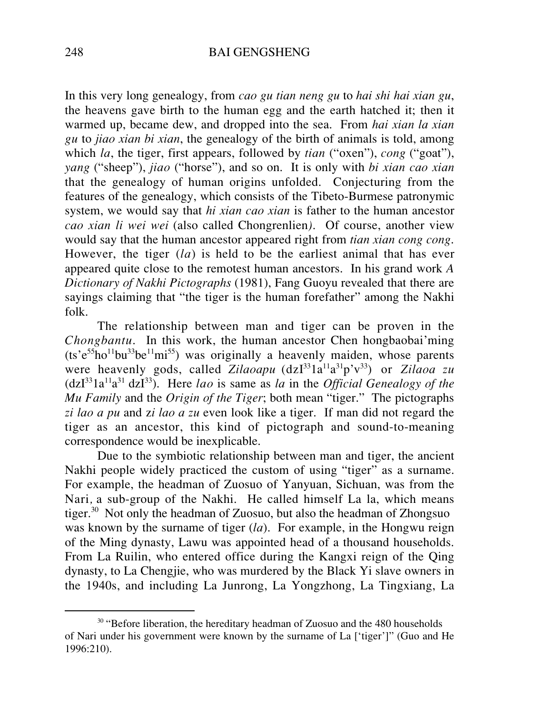In this very long genealogy, from *cao gu tian neng gu* to *hai shi hai xian gu*, the heavens gave birth to the human egg and the earth hatched it; then it warmed up, became dew, and dropped into the sea. From *hai xian la xian gu* to *jiao xian bi xian*, the genealogy of the birth of animals is told, among which *la*, the tiger, first appears, followed by *tian* ("oxen"), *cong* ("goat"), *yang* ("sheep"), *jiao* ("horse"), and so on. It is only with *bi xian cao xian* that the genealogy of human origins unfolded. Conjecturing from the features of the genealogy, which consists of the Tibeto-Burmese patronymic system, we would say that *hi xian cao xian* is father to the human ancestor *cao xian li wei wei* (also called Chongrenlien*)*. Of course, another view would say that the human ancestor appeared right from *tian xian cong cong*. However, the tiger (*la*) is held to be the earliest animal that has ever appeared quite close to the remotest human ancestors. In his grand work *A Dictionary of Nakhi Pictographs* (1981), Fang Guoyu revealed that there are sayings claiming that "the tiger is the human forefather" among the Nakhi folk.

The relationship between man and tiger can be proven in the *Chongbantu*. In this work, the human ancestor Chen hongbaobai'ming  $(ts'e<sup>55</sup>ho<sup>11</sup>bu<sup>33</sup>be<sup>11</sup>mi<sup>55</sup>)$  was originally a heavenly maiden, whose parents were heavenly gods, called *Zilaoapu* (dzI<sup>33</sup>1a<sup>11</sup>a<sup>31</sup>p'v<sup>33</sup>) or *Zilaoa zu* (dzI331a11a31 dzI33). Here *lao* is same as *la* in the *Official Genealogy of the Mu Family* and the *Origin of the Tiger*; both mean "tiger." The pictographs *zi lao a pu* and z*i lao a zu* even look like a tiger. If man did not regard the tiger as an ancestor, this kind of pictograph and sound-to-meaning correspondence would be inexplicable.

Due to the symbiotic relationship between man and tiger, the ancient Nakhi people widely practiced the custom of using "tiger" as a surname. For example, the headman of Zuosuo of Yanyuan, Sichuan, was from the Nari*,* a sub-group of the Nakhi. He called himself La la, which means tiger.<sup>30</sup> Not only the headman of Zuosuo, but also the headman of Zhongsuo was known by the surname of tiger (*la*). For example, in the Hongwu reign of the Ming dynasty, Lawu was appointed head of a thousand households. From La Ruilin, who entered office during the Kangxi reign of the Qing dynasty, to La Chengjie, who was murdered by the Black Yi slave owners in the 1940s, and including La Junrong, La Yongzhong, La Tingxiang, La

 <sup>30</sup> <sup>30</sup> "Before liberation, the hereditary headman of Zuosuo and the 480 households of Nari under his government were known by the surname of La ['tiger']" (Guo and He 1996:210).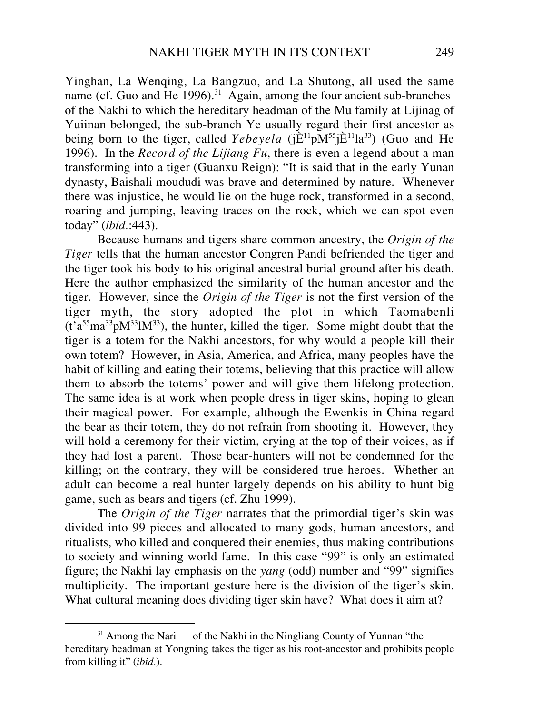Yinghan, La Wenqing, La Bangzuo, and La Shutong, all used the same name (cf. Guo and He 1996).<sup>31</sup> Again, among the four ancient sub-branches of the Nakhi to which the hereditary headman of the Mu family at Lijinag of Yuiinan belonged, the sub-branch Ye usually regard their first ancestor as being born to the tiger, called *Yebeyela* ( $j\hat{E}^{11}pM^{55}j\hat{E}^{11}la^{33}$ ) (Guo and He 1996). In the *Record of the Lijiang Fu*, there is even a legend about a man transforming into a tiger (Guanxu Reign): "It is said that in the early Yunan dynasty, Baishali moududi was brave and determined by nature. Whenever there was injustice, he would lie on the huge rock, transformed in a second, roaring and jumping, leaving traces on the rock, which we can spot even today" (*ibid.*:443).

Because humans and tigers share common ancestry, the *Origin of the Tiger* tells that the human ancestor Congren Pandi befriended the tiger and the tiger took his body to his original ancestral burial ground after his death. Here the author emphasized the similarity of the human ancestor and the tiger. However, since the *Origin of the Tiger* is not the first version of the tiger myth, the story adopted the plot in which Taomabenli  $(t^2a^{55}ma^{33}pM^{33}M^{33})$ , the hunter, killed the tiger. Some might doubt that the tiger is a totem for the Nakhi ancestors, for why would a people kill their own totem? However, in Asia, America, and Africa, many peoples have the habit of killing and eating their totems, believing that this practice will allow them to absorb the totems' power and will give them lifelong protection. The same idea is at work when people dress in tiger skins, hoping to glean their magical power. For example, although the Ewenkis in China regard the bear as their totem, they do not refrain from shooting it. However, they will hold a ceremony for their victim, crying at the top of their voices, as if they had lost a parent. Those bear-hunters will not be condemned for the killing; on the contrary, they will be considered true heroes. Whether an adult can become a real hunter largely depends on his ability to hunt big game, such as bears and tigers (cf. Zhu 1999).

The *Origin of the Tiger* narrates that the primordial tiger's skin was divided into 99 pieces and allocated to many gods, human ancestors, and ritualists, who killed and conquered their enemies, thus making contributions to society and winning world fame. In this case "99" is only an estimated figure; the Nakhi lay emphasis on the *yang* (odd) number and "99" signifies multiplicity. The important gesture here is the division of the tiger's skin. What cultural meaning does dividing tiger skin have? What does it aim at?

 <sup>31</sup>  $31$  Among the Nari of the Nakhi in the Ningliang County of Yunnan "the hereditary headman at Yongning takes the tiger as his root-ancestor and prohibits people from killing it" (*ibid.*).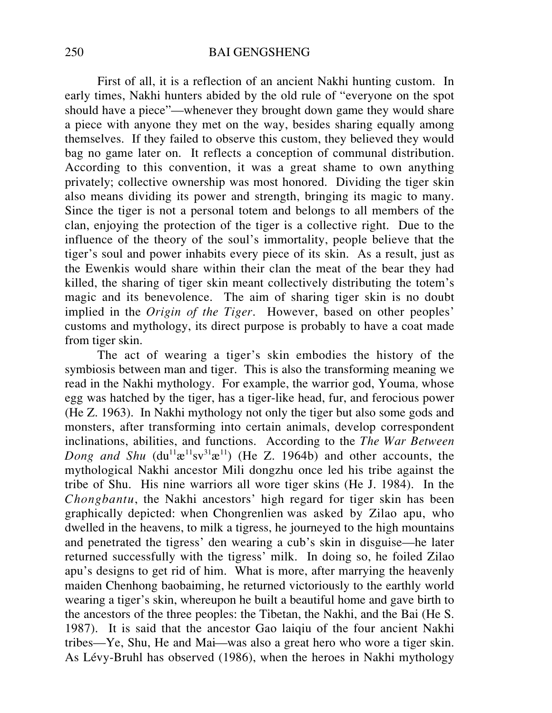First of all, it is a reflection of an ancient Nakhi hunting custom. In early times, Nakhi hunters abided by the old rule of "everyone on the spot should have a piece"—whenever they brought down game they would share a piece with anyone they met on the way, besides sharing equally among themselves. If they failed to observe this custom, they believed they would bag no game later on. It reflects a conception of communal distribution. According to this convention, it was a great shame to own anything privately; collective ownership was most honored. Dividing the tiger skin also means dividing its power and strength, bringing its magic to many. Since the tiger is not a personal totem and belongs to all members of the clan, enjoying the protection of the tiger is a collective right. Due to the influence of the theory of the soul's immortality, people believe that the tiger's soul and power inhabits every piece of its skin. As a result, just as the Ewenkis would share within their clan the meat of the bear they had killed, the sharing of tiger skin meant collectively distributing the totem's magic and its benevolence. The aim of sharing tiger skin is no doubt implied in the *Origin of the Tiger*. However, based on other peoples' customs and mythology, its direct purpose is probably to have a coat made from tiger skin.

The act of wearing a tiger's skin embodies the history of the symbiosis between man and tiger. This is also the transforming meaning we read in the Nakhi mythology. For example, the warrior god, Youma*,* whose egg was hatched by the tiger, has a tiger-like head, fur, and ferocious power (He Z. 1963). In Nakhi mythology not only the tiger but also some gods and monsters, after transforming into certain animals, develop correspondent inclinations, abilities, and functions. According to the *The War Between Dong and Shu*  $(du^{11}x^{11}sv^{31}x^{11})$  (He Z. 1964b) and other accounts, the mythological Nakhi ancestor Mili dongzhu once led his tribe against the tribe of Shu. His nine warriors all wore tiger skins (He J. 1984). In the *Chongbantu*, the Nakhi ancestors' high regard for tiger skin has been graphically depicted: when Chongrenlien was asked by Zilao apu, who dwelled in the heavens, to milk a tigress, he journeyed to the high mountains and penetrated the tigress' den wearing a cub's skin in disguise—he later returned successfully with the tigress' milk. In doing so, he foiled Zilao apu's designs to get rid of him. What is more, after marrying the heavenly maiden Chenhong baobaiming, he returned victoriously to the earthly world wearing a tiger's skin, whereupon he built a beautiful home and gave birth to the ancestors of the three peoples: the Tibetan, the Nakhi, and the Bai (He S. 1987). It is said that the ancestor Gao laiqiu of the four ancient Nakhi tribes—Ye, Shu, He and Mai*—*was also a great hero who wore a tiger skin. As Lévy-Bruhl has observed (1986), when the heroes in Nakhi mythology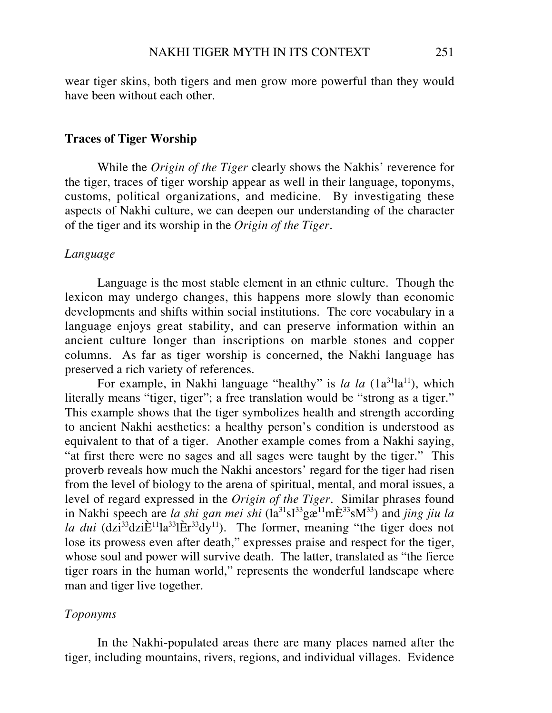wear tiger skins, both tigers and men grow more powerful than they would have been without each other.

## **Traces of Tiger Worship**

While the *Origin of the Tiger* clearly shows the Nakhis' reverence for the tiger, traces of tiger worship appear as well in their language, toponyms, customs, political organizations, and medicine. By investigating these aspects of Nakhi culture, we can deepen our understanding of the character of the tiger and its worship in the *Origin of the Tiger*.

#### *Language*

Language is the most stable element in an ethnic culture. Though the lexicon may undergo changes, this happens more slowly than economic developments and shifts within social institutions. The core vocabulary in a language enjoys great stability, and can preserve information within an ancient culture longer than inscriptions on marble stones and copper columns. As far as tiger worship is concerned, the Nakhi language has preserved a rich variety of references.

For example, in Nakhi language "healthy" is *la la* (1a<sup>31</sup>la<sup>11</sup>), which literally means "tiger, tiger"; a free translation would be "strong as a tiger." This example shows that the tiger symbolizes health and strength according to ancient Nakhi aesthetics: a healthy person's condition is understood as equivalent to that of a tiger. Another example comes from a Nakhi saying, "at first there were no sages and all sages were taught by the tiger." This proverb reveals how much the Nakhi ancestors' regard for the tiger had risen from the level of biology to the arena of spiritual, mental, and moral issues, a level of regard expressed in the *Origin of the Tiger*. Similar phrases found in Nakhi speech are *la shi gan mei shi*  $(la^{31}sl^{33}ga^{11}m\tilde{E}^{33}sM^{33})$  and *jing jiu la la dui* (dzi<sup>33</sup>dzi $\hat{E}^{11}$ la<sup>33</sup>lÈr<sup>33</sup>dy<sup>11</sup>). The former, meaning "the tiger does not lose its prowess even after death," expresses praise and respect for the tiger, whose soul and power will survive death. The latter, translated as "the fierce tiger roars in the human world," represents the wonderful landscape where man and tiger live together.

#### *Toponyms*

In the Nakhi-populated areas there are many places named after the tiger, including mountains, rivers, regions, and individual villages. Evidence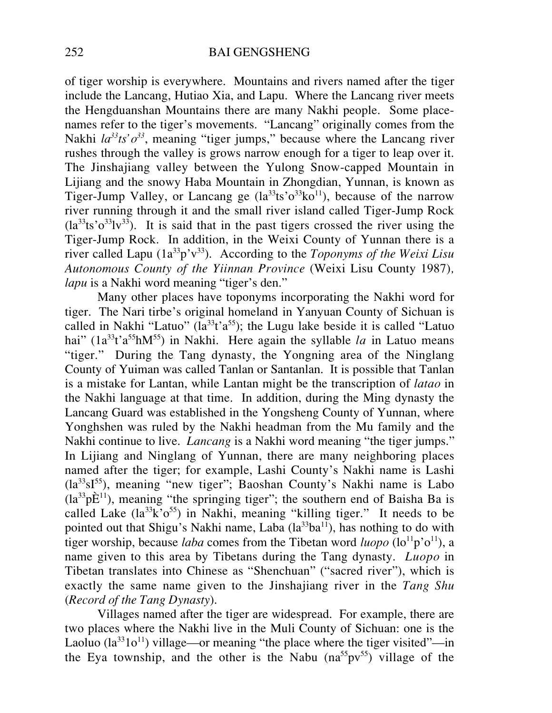of tiger worship is everywhere. Mountains and rivers named after the tiger include the Lancang, Hutiao Xia, and Lapu. Where the Lancang river meets the Hengduanshan Mountains there are many Nakhi people. Some placenames refer to the tiger's movements. "Lancang" originally comes from the Nakhi  $la^{33}ts' \, o^{33}$ , meaning "tiger jumps," because where the Lancang river rushes through the valley is grows narrow enough for a tiger to leap over it. The Jinshajiang valley between the Yulong Snow-capped Mountain in Lijiang and the snowy Haba Mountain in Zhongdian, Yunnan, is known as Tiger-Jump Valley, or Lancang ge  $(la^{33}ts'o^{33}ko^{11})$ , because of the narrow river running through it and the small river island called Tiger-Jump Rock  $(la<sup>33</sup>ts'o<sup>33</sup>lv<sup>33</sup>)$ . It is said that in the past tigers crossed the river using the Tiger-Jump Rock. In addition, in the Weixi County of Yunnan there is a river called Lapu  $(1a^{33}p'v^{33})$ . According to the *Toponyms of the Weixi Lisu Autonomous County of the Yiinnan Province* (Weixi Lisu County 1987)*, lapu* is a Nakhi word meaning "tiger's den."

Many other places have toponyms incorporating the Nakhi word for tiger. The Nari tirbe's original homeland in Yanyuan County of Sichuan is called in Nakhi "Latuo" ( $la^{33}t^3a^{55}$ ); the Lugu lake beside it is called "Latuo" hai" (1a<sup>33</sup>t'a<sup>55</sup>hM<sup>55</sup>) in Nakhi. Here again the syllable *la* in Latuo means "tiger." During the Tang dynasty, the Yongning area of the Ninglang County of Yuiman was called Tanlan or Santanlan. It is possible that Tanlan is a mistake for Lantan, while Lantan might be the transcription of *latao* in the Nakhi language at that time. In addition, during the Ming dynasty the Lancang Guard was established in the Yongsheng County of Yunnan, where Yonghshen was ruled by the Nakhi headman from the Mu family and the Nakhi continue to live. *Lancang* is a Nakhi word meaning "the tiger jumps." In Lijiang and Ninglang of Yunnan, there are many neighboring places named after the tiger; for example, Lashi County's Nakhi name is Lashi (la33sI55), meaning "new tiger"; Baoshan County's Nakhi name is Labo  $(la^{33}p\tilde{E}^{11})$ , meaning "the springing tiger"; the southern end of Baisha Ba is called Lake  $(la^{33}k'o^{55})$  in Nakhi, meaning "killing tiger." It needs to be pointed out that Shigu's Nakhi name, Laba  $(la^{33}ba^{11})$ , has nothing to do with tiger worship, because *laba* comes from the Tibetan word *luopo*  $(\log^{11} p' \cdot o^{11})$ , a name given to this area by Tibetans during the Tang dynasty. *Luopo* in Tibetan translates into Chinese as "Shenchuan" ("sacred river"), which is exactly the same name given to the Jinshajiang river in the *Tang Shu* (*Record of the Tang Dynasty*).

Villages named after the tiger are widespread. For example, there are two places where the Nakhi live in the Muli County of Sichuan: one is the Laoluo  $(la^{33}1o^{11})$  village—or meaning "the place where the tiger visited"—in the Eya township, and the other is the Nabu  $(na^{55}pv^{55})$  village of the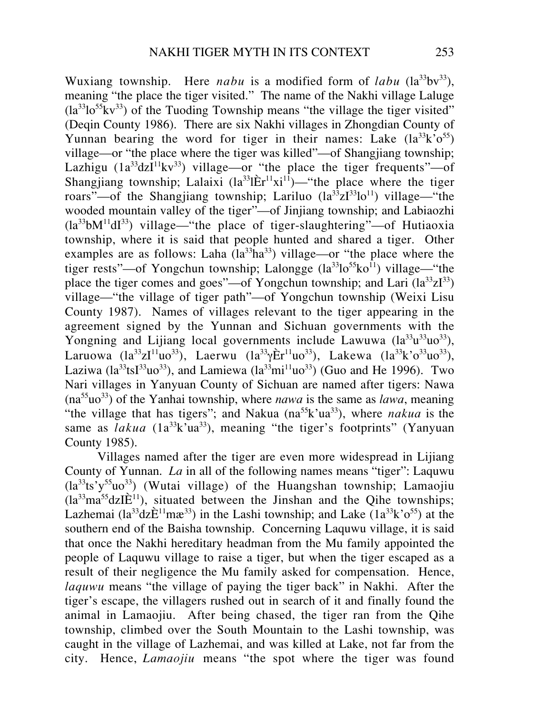Wuxiang township. Here *nabu* is a modified form of *labu* (la<sup>33</sup>bv<sup>33</sup>), meaning "the place the tiger visited." The name of the Nakhi village Laluge  $(la^{33}lo^{55}kv^{33})$  of the Tuoding Township means "the village the tiger visited" (Deqin County 1986). There are six Nakhi villages in Zhongdian County of Yunnan bearing the word for tiger in their names: Lake  $(la^{33}k'o^{55})$ village—or "the place where the tiger was killed"—of Shangjiang township; Lazhigu  $(1a^{33}dzI^{11}kv^{33})$  village—or "the place the tiger frequents"—of Shangjiang township; Lalaixi  $(la^{33}l\tilde{E}r^{11}x^{11})$ —"the place where the tiger roars"—of the Shangjiang township; Lariluo  $(la^{33}zI^{33}lo^{11})$  village—"the wooded mountain valley of the tiger"—of Jinjiang township; and Labiaozhi  $(la^{33}bM^{11}dI^{33})$  village—"the place of tiger-slaughtering"—of Hutiaoxia township, where it is said that people hunted and shared a tiger. Other examples are as follows: Laha  $(la^{33}ha^{33})$  village—or "the place where the tiger rests"—of Yongchun township; Lalongge  $(la^{33}lo^{55}ko^{11})$  village—"the place the tiger comes and goes"—of Yongchun township; and Lari  $(la^{33}zI^{33})$ village—"the village of tiger path"—of Yongchun township (Weixi Lisu County 1987). Names of villages relevant to the tiger appearing in the agreement signed by the Yunnan and Sichuan governments with the Yongning and Lijiang local governments include Lawuwa  $(la^{33}u^{33}uo^{33})$ , Laruowa (la<sup>33</sup>zI<sup>11</sup>uo<sup>33</sup>), Laerwu (la<sup>33</sup> $\gamma$ Èr<sup>11</sup>uo<sup>33</sup>), Lakewa (la<sup>33</sup>k'o<sup>33</sup>uo<sup>33</sup>), Laziwa (la<sup>33</sup>tsI<sup>33</sup>uo<sup>33</sup>), and Lamiewa (la<sup>33</sup>mi<sup>11</sup>uo<sup>33</sup>) (Guo and He 1996). Two Nari villages in Yanyuan County of Sichuan are named after tigers: Nawa  $(na<sup>55</sup>uo<sup>33</sup>)$  of the Yanhai township, where *nawa* is the same as *lawa*, meaning "the village that has tigers"; and Nakua  $(na^{55}k'ua^{33})$ , where *nakua* is the same as  $lakua$   $(1a^{33}k'ua^{33})$ , meaning "the tiger's footprints" (Yanyuan County 1985).

Villages named after the tiger are even more widespread in Lijiang County of Yunnan. *La* in all of the following names means "tiger": Laquwu  $(la^{33}ts'y^{55}uo^{33})$  (Wutai village) of the Huangshan township; Lamaojiu  $(la^{33}ma^{55}dzI\dot{E}^{11})$ , situated between the Jinshan and the Qihe townships; Lazhemai ( $la^{33}dz\hat{E}^{11}me^{33}$ ) in the Lashi township; and Lake ( $1a^{33}k'o^{55}$ ) at the southern end of the Baisha township. Concerning Laquwu village, it is said that once the Nakhi hereditary headman from the Mu family appointed the people of Laquwu village to raise a tiger, but when the tiger escaped as a result of their negligence the Mu family asked for compensation. Hence, *laquwu* means "the village of paying the tiger back" in Nakhi. After the tiger's escape, the villagers rushed out in search of it and finally found the animal in Lamaojiu. After being chased, the tiger ran from the Qihe township, climbed over the South Mountain to the Lashi township, was caught in the village of Lazhemai, and was killed at Lake, not far from the city. Hence, *Lamaojiu* means "the spot where the tiger was found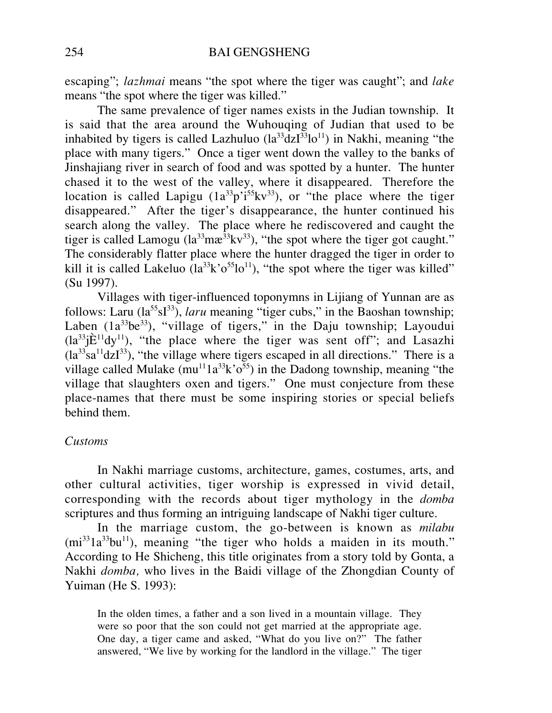escaping"; *lazhmai* means "the spot where the tiger was caught"; and *lake* means "the spot where the tiger was killed."

The same prevalence of tiger names exists in the Judian township. It is said that the area around the Wuhouqing of Judian that used to be inhabited by tigers is called Lazhuluo  $(la^{33}dzI^{33}lo^{11})$  in Nakhi, meaning "the place with many tigers." Once a tiger went down the valley to the banks of Jinshajiang river in search of food and was spotted by a hunter. The hunter chased it to the west of the valley, where it disappeared. Therefore the location is called Lapigu  $(1a^{33}p^{155}kv^{33})$ , or "the place where the tiger disappeared." After the tiger's disappearance, the hunter continued his search along the valley. The place where he rediscovered and caught the tiger is called Lamogu  $(la^{33}ma^{33}kv^{33})$ , "the spot where the tiger got caught." The considerably flatter place where the hunter dragged the tiger in order to kill it is called Lakeluo  $(la^{33}k'o^{55}lo^{11})$ , "the spot where the tiger was killed" (Su 1997).

Villages with tiger-influenced toponymns in Lijiang of Yunnan are as follows: Laru  $(la^{55}sI^{33})$ , *laru* meaning "tiger cubs," in the Baoshan township; Laben  $(1a^{33}be^{33})$ , "village of tigers," in the Daju township; Layoudui  $(la^{33})\hat{E}^{11}dy^{11}$ , "the place where the tiger was sent off"; and Lasazhi  $(la<sup>33</sup>sa<sup>11</sup>dzI<sup>33</sup>)$ , "the village where tigers escaped in all directions." There is a village called Mulake (mu<sup>11</sup>1a<sup>33</sup>k'o<sup>55</sup>) in the Dadong township, meaning "the village that slaughters oxen and tigers." One must conjecture from these place-names that there must be some inspiring stories or special beliefs behind them.

## *Customs*

In Nakhi marriage customs, architecture, games, costumes, arts, and other cultural activities, tiger worship is expressed in vivid detail, corresponding with the records about tiger mythology in the *domba* scriptures and thus forming an intriguing landscape of Nakhi tiger culture.

In the marriage custom, the go-between is known as *milabu*  $(mi<sup>33</sup>1a<sup>33</sup>bu<sup>11</sup>)$ , meaning "the tiger who holds a maiden in its mouth." According to He Shicheng, this title originates from a story told by Gonta, a Nakhi *domba,* who lives in the Baidi village of the Zhongdian County of Yuiman (He S. 1993):

In the olden times, a father and a son lived in a mountain village. They were so poor that the son could not get married at the appropriate age. One day, a tiger came and asked, "What do you live on?" The father answered, "We live by working for the landlord in the village." The tiger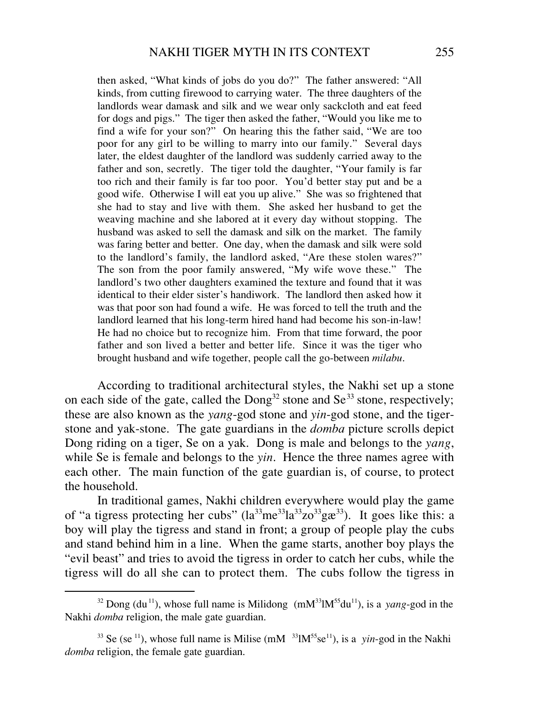then asked, "What kinds of jobs do you do?" The father answered: "All kinds, from cutting firewood to carrying water. The three daughters of the landlords wear damask and silk and we wear only sackcloth and eat feed for dogs and pigs." The tiger then asked the father, "Would you like me to find a wife for your son?" On hearing this the father said, "We are too poor for any girl to be willing to marry into our family." Several days later, the eldest daughter of the landlord was suddenly carried away to the father and son, secretly. The tiger told the daughter, "Your family is far too rich and their family is far too poor. You'd better stay put and be a good wife. Otherwise I will eat you up alive." She was so frightened that she had to stay and live with them. She asked her husband to get the weaving machine and she labored at it every day without stopping. The husband was asked to sell the damask and silk on the market. The family was faring better and better. One day, when the damask and silk were sold to the landlord's family, the landlord asked, "Are these stolen wares?" The son from the poor family answered, "My wife wove these." The landlord's two other daughters examined the texture and found that it was identical to their elder sister's handiwork. The landlord then asked how it was that poor son had found a wife. He was forced to tell the truth and the landlord learned that his long-term hired hand had become his son-in-law! He had no choice but to recognize him. From that time forward, the poor father and son lived a better and better life. Since it was the tiger who brought husband and wife together, people call the go-between *milabu*.

According to traditional architectural styles, the Nakhi set up a stone on each side of the gate, called the  $Dong<sup>32</sup>$  stone and  $Se<sup>33</sup>$  stone, respectively; these are also known as the *yang*-god stone and *yin*-god stone, and the tigerstone and yak-stone. The gate guardians in the *domba* picture scrolls depict Dong riding on a tiger, Se on a yak. Dong is male and belongs to the *yang*, while Se is female and belongs to the *yin*. Hence the three names agree with each other. The main function of the gate guardian is, of course, to protect the household.

In traditional games, Nakhi children everywhere would play the game of "a tigress protecting her cubs"  $(la^{33}me^{33}la^{33}za^{33})$ . It goes like this: a boy will play the tigress and stand in front; a group of people play the cubs and stand behind him in a line. When the game starts, another boy plays the "evil beast" and tries to avoid the tigress in order to catch her cubs, while the tigress will do all she can to protect them. The cubs follow the tigress in

 <sup>32</sup> <sup>32</sup> Dong (du<sup>11</sup>), whose full name is Milidong (mM<sup>33</sup>lM<sup>55</sup>du<sup>11</sup>), is a *yang*-god in the Nakhi *domba* religion, the male gate guardian.

<sup>&</sup>lt;sup>33</sup> Se (se<sup>11</sup>), whose full name is Milise (mM  $331M^{55}$ se<sup>11</sup>), is a *yin*-god in the Nakhi *domba* religion, the female gate guardian.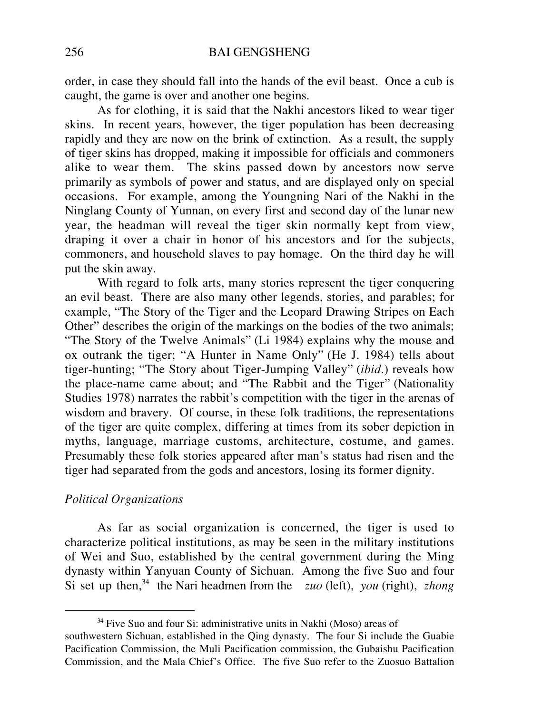order, in case they should fall into the hands of the evil beast. Once a cub is caught, the game is over and another one begins.

As for clothing, it is said that the Nakhi ancestors liked to wear tiger skins. In recent years, however, the tiger population has been decreasing rapidly and they are now on the brink of extinction. As a result, the supply of tiger skins has dropped, making it impossible for officials and commoners alike to wear them. The skins passed down by ancestors now serve primarily as symbols of power and status, and are displayed only on special occasions. For example, among the Youngning Nari of the Nakhi in the Ninglang County of Yunnan, on every first and second day of the lunar new year, the headman will reveal the tiger skin normally kept from view, draping it over a chair in honor of his ancestors and for the subjects, commoners, and household slaves to pay homage. On the third day he will put the skin away.

With regard to folk arts, many stories represent the tiger conquering an evil beast. There are also many other legends, stories, and parables; for example, "The Story of the Tiger and the Leopard Drawing Stripes on Each Other" describes the origin of the markings on the bodies of the two animals; "The Story of the Twelve Animals" (Li 1984) explains why the mouse and ox outrank the tiger; "A Hunter in Name Only" (He J. 1984) tells about tiger-hunting; "The Story about Tiger-Jumping Valley" (*ibid.*) reveals how the place-name came about; and "The Rabbit and the Tiger" (Nationality Studies 1978) narrates the rabbit's competition with the tiger in the arenas of wisdom and bravery. Of course, in these folk traditions, the representations of the tiger are quite complex, differing at times from its sober depiction in myths, language, marriage customs, architecture, costume, and games. Presumably these folk stories appeared after man's status had risen and the tiger had separated from the gods and ancestors, losing its former dignity.

## *Political Organizations*

As far as social organization is concerned, the tiger is used to characterize political institutions, as may be seen in the military institutions of Wei and Suo, established by the central government during the Ming dynasty within Yanyuan County of Sichuan. Among the five Suo and four Si set up then,<sup>34</sup> the Nari headmen from the *zuo* (left), *you* (right), *zhong* 

 <sup>34</sup> <sup>34</sup> Five Suo and four Si: administrative units in Nakhi (Moso) areas of southwestern Sichuan, established in the Qing dynasty. The four Si include the Guabie Pacification Commission, the Muli Pacification commission, the Gubaishu Pacification Commission, and the Mala Chief's Office. The five Suo refer to the Zuosuo Battalion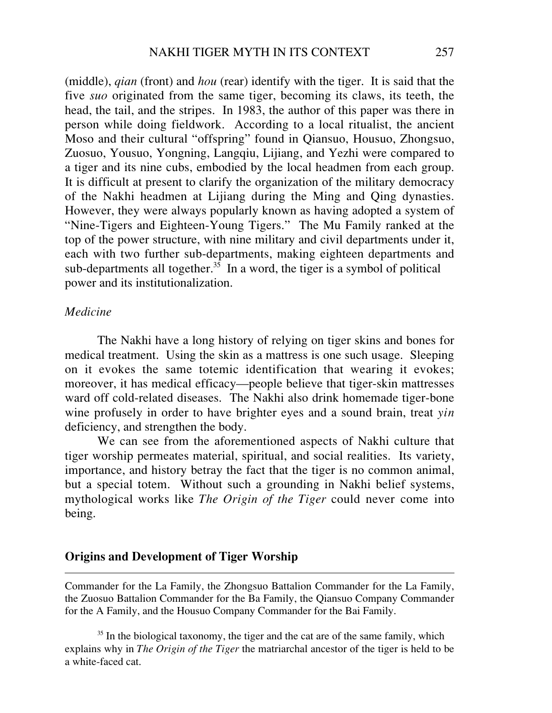(middle), *qian* (front) and *hou* (rear) identify with the tiger. It is said that the five *suo* originated from the same tiger, becoming its claws, its teeth, the head, the tail, and the stripes. In 1983, the author of this paper was there in person while doing fieldwork. According to a local ritualist, the ancient Moso and their cultural "offspring" found in Qiansuo, Housuo, Zhongsuo, Zuosuo, Yousuo, Yongning, Langqiu, Lijiang, and Yezhi were compared to a tiger and its nine cubs, embodied by the local headmen from each group. It is difficult at present to clarify the organization of the military democracy of the Nakhi headmen at Lijiang during the Ming and Qing dynasties. However, they were always popularly known as having adopted a system of "Nine-Tigers and Eighteen-Young Tigers." The Mu Family ranked at the top of the power structure, with nine military and civil departments under it, each with two further sub-departments, making eighteen departments and sub-departments all together. $35$  In a word, the tiger is a symbol of political power and its institutionalization.

## *Medicine*

 $\overline{a}$ 

The Nakhi have a long history of relying on tiger skins and bones for medical treatment. Using the skin as a mattress is one such usage. Sleeping on it evokes the same totemic identification that wearing it evokes; moreover, it has medical efficacy—people believe that tiger-skin mattresses ward off cold-related diseases. The Nakhi also drink homemade tiger-bone wine profusely in order to have brighter eyes and a sound brain, treat *yin* deficiency, and strengthen the body.

We can see from the aforementioned aspects of Nakhi culture that tiger worship permeates material, spiritual, and social realities. Its variety, importance, and history betray the fact that the tiger is no common animal, but a special totem. Without such a grounding in Nakhi belief systems, mythological works like *The Origin of the Tiger* could never come into being.

## **Origins and Development of Tiger Worship**

Commander for the La Family, the Zhongsuo Battalion Commander for the La Family, the Zuosuo Battalion Commander for the Ba Family, the Qiansuo Company Commander for the A Family, and the Housuo Company Commander for the Bai Family.

<sup>35</sup> In the biological taxonomy, the tiger and the cat are of the same family, which explains why in *The Origin of the Tiger* the matriarchal ancestor of the tiger is held to be a white-faced cat.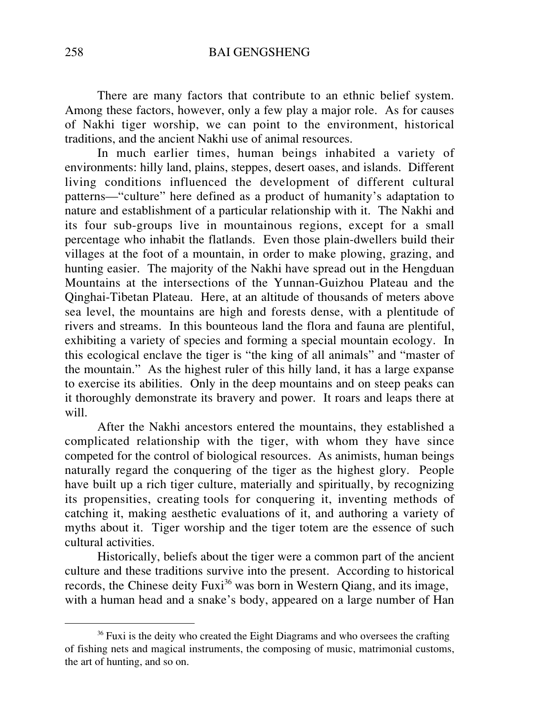There are many factors that contribute to an ethnic belief system. Among these factors, however, only a few play a major role. As for causes of Nakhi tiger worship, we can point to the environment, historical traditions, and the ancient Nakhi use of animal resources.

In much earlier times, human beings inhabited a variety of environments: hilly land, plains, steppes, desert oases, and islands. Different living conditions influenced the development of different cultural patterns—"culture" here defined as a product of humanity's adaptation to nature and establishment of a particular relationship with it. The Nakhi and its four sub-groups live in mountainous regions, except for a small percentage who inhabit the flatlands. Even those plain-dwellers build their villages at the foot of a mountain, in order to make plowing, grazing, and hunting easier. The majority of the Nakhi have spread out in the Hengduan Mountains at the intersections of the Yunnan-Guizhou Plateau and the Qinghai-Tibetan Plateau. Here, at an altitude of thousands of meters above sea level, the mountains are high and forests dense, with a plentitude of rivers and streams. In this bounteous land the flora and fauna are plentiful, exhibiting a variety of species and forming a special mountain ecology. In this ecological enclave the tiger is "the king of all animals" and "master of the mountain." As the highest ruler of this hilly land, it has a large expanse to exercise its abilities. Only in the deep mountains and on steep peaks can it thoroughly demonstrate its bravery and power. It roars and leaps there at will.

After the Nakhi ancestors entered the mountains, they established a complicated relationship with the tiger, with whom they have since competed for the control of biological resources. As animists, human beings naturally regard the conquering of the tiger as the highest glory. People have built up a rich tiger culture, materially and spiritually, by recognizing its propensities, creating tools for conquering it, inventing methods of catching it, making aesthetic evaluations of it, and authoring a variety of myths about it. Tiger worship and the tiger totem are the essence of such cultural activities.

Historically, beliefs about the tiger were a common part of the ancient culture and these traditions survive into the present. According to historical records, the Chinese deity Fuxi<sup>36</sup> was born in Western Qiang, and its image, with a human head and a snake's body, appeared on a large number of Han

 <sup>36</sup>  $36$  Fuxi is the deity who created the Eight Diagrams and who oversees the crafting of fishing nets and magical instruments, the composing of music, matrimonial customs, the art of hunting, and so on.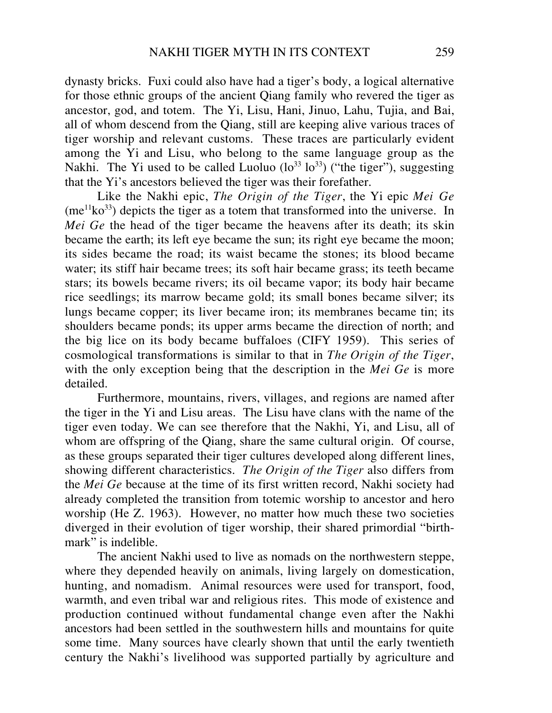dynasty bricks. Fuxi could also have had a tiger's body, a logical alternative for those ethnic groups of the ancient Qiang family who revered the tiger as ancestor, god, and totem. The Yi, Lisu, Hani, Jinuo, Lahu, Tujia, and Bai, all of whom descend from the Qiang, still are keeping alive various traces of tiger worship and relevant customs. These traces are particularly evident among the Yi and Lisu, who belong to the same language group as the Nakhi. The Yi used to be called Luoluo  $(10^{33} 10^{33})$  ("the tiger"), suggesting that the Yi's ancestors believed the tiger was their forefather.

Like the Nakhi epic, *The Origin of the Tiger*, the Yi epic *Mei Ge*  $(me^{11}ko^{33})$  depicts the tiger as a totem that transformed into the universe. In *Mei Ge* the head of the tiger became the heavens after its death; its skin became the earth; its left eye became the sun; its right eye became the moon; its sides became the road; its waist became the stones; its blood became water; its stiff hair became trees; its soft hair became grass; its teeth became stars; its bowels became rivers; its oil became vapor; its body hair became rice seedlings; its marrow became gold; its small bones became silver; its lungs became copper; its liver became iron; its membranes became tin; its shoulders became ponds; its upper arms became the direction of north; and the big lice on its body became buffaloes (CIFY 1959). This series of cosmological transformations is similar to that in *The Origin of the Tiger*, with the only exception being that the description in the *Mei Ge* is more detailed.

Furthermore, mountains, rivers, villages, and regions are named after the tiger in the Yi and Lisu areas. The Lisu have clans with the name of the tiger even today. We can see therefore that the Nakhi, Yi, and Lisu, all of whom are offspring of the Qiang, share the same cultural origin. Of course, as these groups separated their tiger cultures developed along different lines, showing different characteristics. *The Origin of the Tiger* also differs from the *Mei Ge* because at the time of its first written record, Nakhi society had already completed the transition from totemic worship to ancestor and hero worship (He Z. 1963). However, no matter how much these two societies diverged in their evolution of tiger worship, their shared primordial "birthmark" is indelible.

The ancient Nakhi used to live as nomads on the northwestern steppe, where they depended heavily on animals, living largely on domestication, hunting, and nomadism. Animal resources were used for transport, food, warmth, and even tribal war and religious rites. This mode of existence and production continued without fundamental change even after the Nakhi ancestors had been settled in the southwestern hills and mountains for quite some time. Many sources have clearly shown that until the early twentieth century the Nakhi's livelihood was supported partially by agriculture and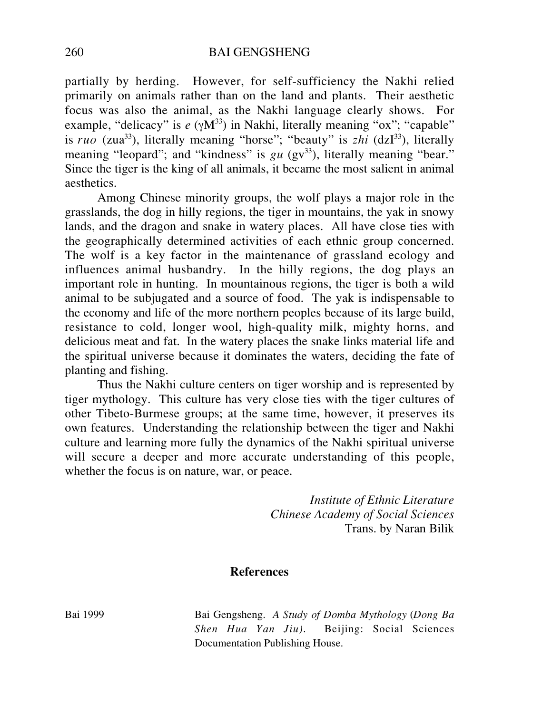partially by herding. However, for self-sufficiency the Nakhi relied primarily on animals rather than on the land and plants. Their aesthetic focus was also the animal, as the Nakhi language clearly shows. For example, "delicacy" is  $e(yM^{33})$  in Nakhi, literally meaning "ox"; "capable" is  $ruo$  (zua<sup>33</sup>), literally meaning "horse"; "beauty" is  $zhi$  (dz<sup>133</sup>), literally meaning "leopard"; and "kindness" is *gu* (gv<sup>33</sup>), literally meaning "bear." Since the tiger is the king of all animals, it became the most salient in animal aesthetics.

Among Chinese minority groups, the wolf plays a major role in the grasslands, the dog in hilly regions, the tiger in mountains, the yak in snowy lands, and the dragon and snake in watery places. All have close ties with the geographically determined activities of each ethnic group concerned. The wolf is a key factor in the maintenance of grassland ecology and influences animal husbandry. In the hilly regions, the dog plays an important role in hunting. In mountainous regions, the tiger is both a wild animal to be subjugated and a source of food. The yak is indispensable to the economy and life of the more northern peoples because of its large build, resistance to cold, longer wool, high-quality milk, mighty horns, and delicious meat and fat. In the watery places the snake links material life and the spiritual universe because it dominates the waters, deciding the fate of planting and fishing.

Thus the Nakhi culture centers on tiger worship and is represented by tiger mythology. This culture has very close ties with the tiger cultures of other Tibeto-Burmese groups; at the same time, however, it preserves its own features. Understanding the relationship between the tiger and Nakhi culture and learning more fully the dynamics of the Nakhi spiritual universe will secure a deeper and more accurate understanding of this people, whether the focus is on nature, war, or peace.

> *Institute of Ethnic Literature Chinese Academy of Social Sciences* Trans. by Naran Bilik

## **References**

Bai 1999 Bai Gengsheng. *A Study of Domba Mythology* (*Dong Ba Shen Hua Yan Jiu)*. Beijing: Social Sciences Documentation Publishing House.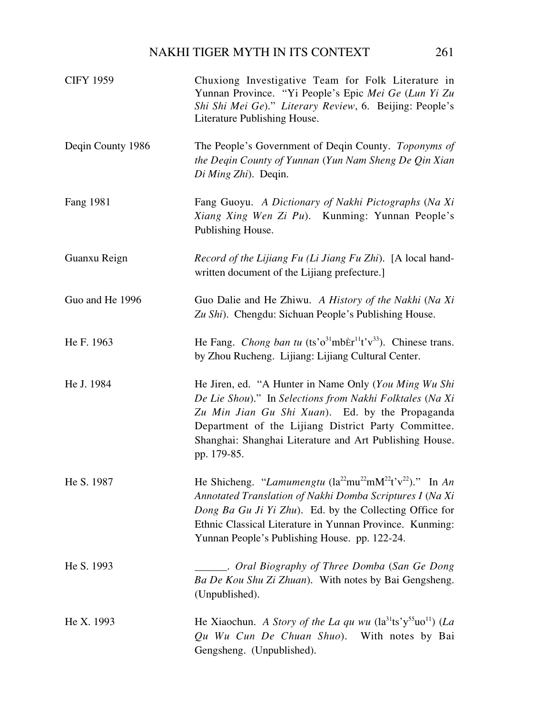| <b>CIFY 1959</b>  | Chuxiong Investigative Team for Folk Literature in<br>Yunnan Province. "Yi People's Epic Mei Ge (Lun Yi Zu<br>Shi Shi Mei Ge)." Literary Review, 6. Beijing: People's<br>Literature Publishing House.                                                                                                    |
|-------------------|----------------------------------------------------------------------------------------------------------------------------------------------------------------------------------------------------------------------------------------------------------------------------------------------------------|
| Deqin County 1986 | The People's Government of Deqin County. Toponyms of<br>the Degin County of Yunnan (Yun Nam Sheng De Qin Xian<br>Di Ming Zhi). Deqin.                                                                                                                                                                    |
| Fang 1981         | Fang Guoyu. A Dictionary of Nakhi Pictographs (Na Xi<br>Xiang Xing Wen Zi Pu). Kunming: Yunnan People's<br>Publishing House.                                                                                                                                                                             |
| Guanxu Reign      | Record of the Lijiang Fu (Li Jiang Fu Zhi). [A local hand-<br>written document of the Lijiang prefecture.]                                                                                                                                                                                               |
| Guo and He 1996   | Guo Dalie and He Zhiwu. A History of the Nakhi (Na Xi<br>Zu Shi). Chengdu: Sichuan People's Publishing House.                                                                                                                                                                                            |
| He F. 1963        | He Fang. Chong ban tu (ts'o <sup>31</sup> mbèr <sup>11</sup> t'v <sup>33</sup> ). Chinese trans.<br>by Zhou Rucheng. Lijiang: Lijiang Cultural Center.                                                                                                                                                   |
| He J. 1984        | He Jiren, ed. "A Hunter in Name Only (You Ming Wu Shi<br>De Lie Shou)." In Selections from Nakhi Folktales (Na Xi<br>Zu Min Jian Gu Shi Xuan). Ed. by the Propaganda<br>Department of the Lijiang District Party Committee.<br>Shanghai: Shanghai Literature and Art Publishing House.<br>pp. 179-85.    |
| He S. 1987        | He Shicheng. "Lamumengtu ( $la^{22}mu^{22}mM^{22}t'v^{22}$ )." In An<br>Annotated Translation of Nakhi Domba Scriptures I (Na Xi<br>Dong Ba Gu Ji Yi Zhu). Ed. by the Collecting Office for<br>Ethnic Classical Literature in Yunnan Province. Kunming:<br>Yunnan People's Publishing House. pp. 122-24. |
| He S. 1993        | Ba De Kou Shu Zi Zhuan). With notes by Bai Gengsheng.<br>(Unpublished).                                                                                                                                                                                                                                  |
| He X. 1993        | He Xiaochun. A Story of the La qu wu $(la^{31}ts'y^{55}uo^{11})$ (La<br>Qu Wu Cun De Chuan Shuo). With notes by Bai<br>Gengsheng. (Unpublished).                                                                                                                                                         |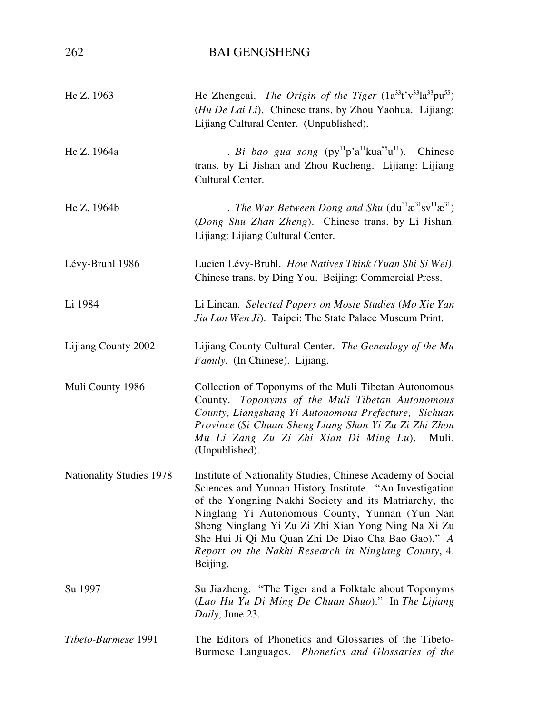| He Z. 1963                      | He Zhengcai. The Origin of the Tiger $(1a^{33}t'v^{33}la^{33}pu^{55})$<br>(Hu De Lai Li). Chinese trans. by Zhou Yaohua. Lijiang:<br>Lijiang Cultural Center. (Unpublished).                                                                                                                                                                                                                                       |
|---------------------------------|--------------------------------------------------------------------------------------------------------------------------------------------------------------------------------------------------------------------------------------------------------------------------------------------------------------------------------------------------------------------------------------------------------------------|
| He Z. 1964a                     | $\_\_\_\_$ . Bi bao gua song $(py^{11}p'a^{11}kua^{55}u^{11})$ . Chinese<br>trans. by Li Jishan and Zhou Rucheng. Lijiang: Lijiang<br>Cultural Center.                                                                                                                                                                                                                                                             |
| He Z. 1964b                     | $\frac{1}{2}$ . The War Between Dong and Shu $(du^{31}x^{31}sv^{11}x^{31})$<br>(Dong Shu Zhan Zheng). Chinese trans. by Li Jishan.<br>Lijiang: Lijiang Cultural Center.                                                                                                                                                                                                                                            |
| Lévy-Bruhl 1986                 | Lucien Lévy-Bruhl. How Natives Think (Yuan Shi Si Wei).<br>Chinese trans. by Ding You. Beijing: Commercial Press.                                                                                                                                                                                                                                                                                                  |
| Li 1984                         | Li Lincan. Selected Papers on Mosie Studies (Mo Xie Yan<br>Jiu Lun Wen Ji). Taipei: The State Palace Museum Print.                                                                                                                                                                                                                                                                                                 |
| Lijiang County 2002             | Lijiang County Cultural Center. The Genealogy of the Mu<br>Family. (In Chinese). Lijiang.                                                                                                                                                                                                                                                                                                                          |
| Muli County 1986                | Collection of Toponyms of the Muli Tibetan Autonomous<br>County. Toponyms of the Muli Tibetan Autonomous<br>County, Liangshang Yi Autonomous Prefecture, Sichuan<br>Province (Si Chuan Sheng Liang Shan Yi Zu Zi Zhi Zhou<br>Mu Li Zang Zu Zi Zhi Xian Di Ming Lu). Muli.<br>(Unpublished).                                                                                                                        |
| <b>Nationality Studies 1978</b> | Institute of Nationality Studies, Chinese Academy of Social<br>Sciences and Yunnan History Institute. "An Investigation<br>of the Yongning Nakhi Society and its Matriarchy, the<br>Ninglang Yi Autonomous County, Yunnan (Yun Nan<br>Sheng Ninglang Yi Zu Zi Zhi Xian Yong Ning Na Xi Zu<br>She Hui Ji Qi Mu Quan Zhi De Diao Cha Bao Gao)." A<br>Report on the Nakhi Research in Ninglang County, 4.<br>Beijing. |
| Su 1997                         | Su Jiazheng. "The Tiger and a Folktale about Toponyms<br>(Lao Hu Yu Di Ming De Chuan Shuo)." In The Lijiang<br>Daily, June 23.                                                                                                                                                                                                                                                                                     |
| Tibeto-Burmese 1991             | The Editors of Phonetics and Glossaries of the Tibeto-<br>Burmese Languages. Phonetics and Glossaries of the                                                                                                                                                                                                                                                                                                       |